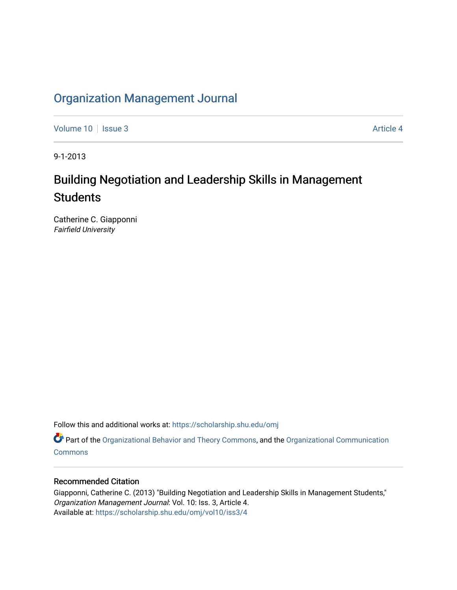# [Organization Management Journal](https://scholarship.shu.edu/omj)

[Volume 10](https://scholarship.shu.edu/omj/vol10) | [Issue 3](https://scholarship.shu.edu/omj/vol10/iss3) Article 4

9-1-2013

# Building Negotiation and Leadership Skills in Management **Students**

Catherine C. Giapponni Fairfield University

Follow this and additional works at: [https://scholarship.shu.edu/omj](https://scholarship.shu.edu/omj?utm_source=scholarship.shu.edu%2Fomj%2Fvol10%2Fiss3%2F4&utm_medium=PDF&utm_campaign=PDFCoverPages) 

Part of the [Organizational Behavior and Theory Commons,](http://network.bepress.com/hgg/discipline/639?utm_source=scholarship.shu.edu%2Fomj%2Fvol10%2Fiss3%2F4&utm_medium=PDF&utm_campaign=PDFCoverPages) and the [Organizational Communication](http://network.bepress.com/hgg/discipline/335?utm_source=scholarship.shu.edu%2Fomj%2Fvol10%2Fiss3%2F4&utm_medium=PDF&utm_campaign=PDFCoverPages) **[Commons](http://network.bepress.com/hgg/discipline/335?utm_source=scholarship.shu.edu%2Fomj%2Fvol10%2Fiss3%2F4&utm_medium=PDF&utm_campaign=PDFCoverPages)** 

#### Recommended Citation

Giapponni, Catherine C. (2013) "Building Negotiation and Leadership Skills in Management Students," Organization Management Journal: Vol. 10: Iss. 3, Article 4. Available at: [https://scholarship.shu.edu/omj/vol10/iss3/4](https://scholarship.shu.edu/omj/vol10/iss3/4?utm_source=scholarship.shu.edu%2Fomj%2Fvol10%2Fiss3%2F4&utm_medium=PDF&utm_campaign=PDFCoverPages)